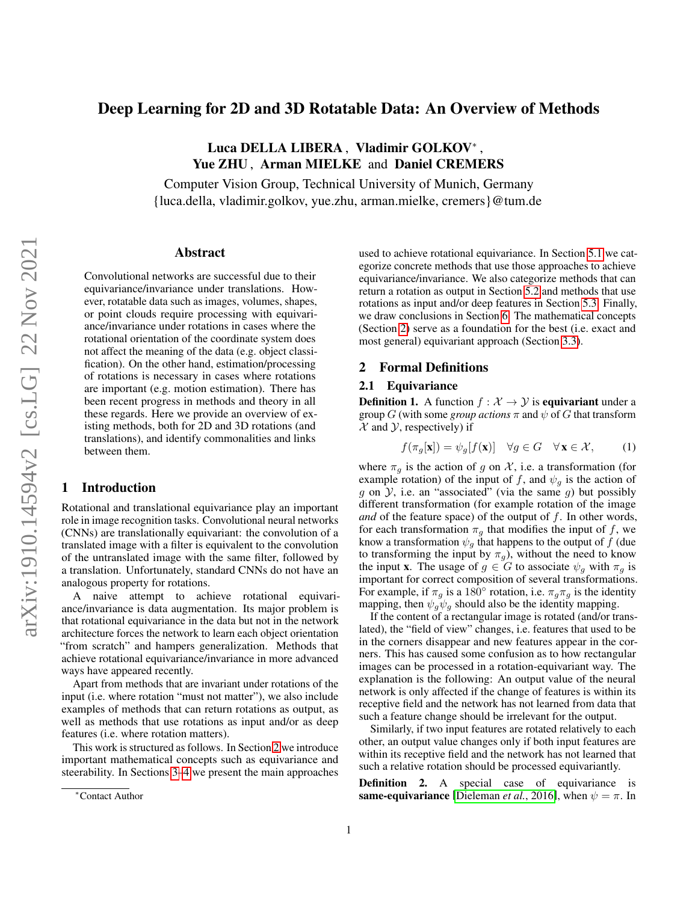# <span id="page-0-3"></span>Deep Learning for 2D and 3D Rotatable Data: An Overview of Methods

Luca DELLA LIBERA , Vladimir GOLKOV\* , Yue ZHU, Arman MIELKE and Daniel CREMERS

Computer Vision Group, Technical University of Munich, Germany {luca.della, vladimir.golkov, yue.zhu, arman.mielke, cremers}@tum.de

#### Abstract

Convolutional networks are successful due to their equivariance/invariance under translations. However, rotatable data such as images, volumes, shapes, or point clouds require processing with equivariance/invariance under rotations in cases where the rotational orientation of the coordinate system does not affect the meaning of the data (e.g. object classification). On the other hand, estimation/processing of rotations is necessary in cases where rotations are important (e.g. motion estimation). There has been recent progress in methods and theory in all these regards. Here we provide an overview of existing methods, both for 2D and 3D rotations (and translations), and identify commonalities and links between them.

# 1 Introduction

Rotational and translational equivariance play an important role in image recognition tasks. Convolutional neural networks (CNNs) are translationally equivariant: the convolution of a translated image with a filter is equivalent to the convolution of the untranslated image with the same filter, followed by a translation. Unfortunately, standard CNNs do not have an analogous property for rotations.

A naive attempt to achieve rotational equivariance/invariance is data augmentation. Its major problem is that rotational equivariance in the data but not in the network architecture forces the network to learn each object orientation "from scratch" and hampers generalization. Methods that achieve rotational equivariance/invariance in more advanced ways have appeared recently.

Apart from methods that are invariant under rotations of the input (i.e. where rotation "must not matter"), we also include examples of methods that can return rotations as output, as well as methods that use rotations as input and/or as deep features (i.e. where rotation matters).

This work is structured as follows. In Section [2](#page-0-0) we introduce important mathematical concepts such as equivariance and steerability. In Sections [3](#page-1-0)[–4](#page-2-0) we present the main approaches used to achieve rotational equivariance. In Section [5.1](#page-2-1) we categorize concrete methods that use those approaches to achieve equivariance/invariance. We also categorize methods that can return a rotation as output in Section [5.2](#page-2-2) and methods that use rotations as input and/or deep features in Section [5.3.](#page-5-0) Finally, we draw conclusions in Section [6.](#page-5-1) The mathematical concepts (Section [2\)](#page-0-0) serve as a foundation for the best (i.e. exact and most general) equivariant approach (Section [3.3\)](#page-1-1).

## <span id="page-0-0"></span>2 Formal Definitions

#### 2.1 Equivariance

<span id="page-0-2"></span>**Definition 1.** A function  $f : \mathcal{X} \to \mathcal{Y}$  is **equivariant** under a group  $G$  (with some *group actions*  $\pi$  and  $\psi$  of  $G$  that transform  $\mathcal X$  and  $\mathcal Y$ , respectively) if

<span id="page-0-1"></span>
$$
f(\pi_g[\mathbf{x}]) = \psi_g[f(\mathbf{x})] \quad \forall g \in G \quad \forall \mathbf{x} \in \mathcal{X}, \tag{1}
$$

where  $\pi_g$  is the action of g on X, i.e. a transformation (for example rotation) of the input of f, and  $\psi_g$  is the action of  $g$  on  $\mathcal{Y}$ , i.e. an "associated" (via the same  $g$ ) but possibly different transformation (for example rotation of the image *and* of the feature space) of the output of  $f$ . In other words, for each transformation  $\pi_g$  that modifies the input of f, we know a transformation  $\psi_g$  that happens to the output of f (due to transforming the input by  $\pi_q$ ), without the need to know the input **x**. The usage of  $g \in G$  to associate  $\psi_q$  with  $\pi_q$  is important for correct composition of several transformations. For example, if  $\pi_g$  is a 180° rotation, i.e.  $\pi_g \pi_g$  is the identity mapping, then  $\psi_g \psi_g$  should also be the identity mapping.

If the content of a rectangular image is rotated (and/or translated), the "field of view" changes, i.e. features that used to be in the corners disappear and new features appear in the corners. This has caused some confusion as to how rectangular images can be processed in a rotation-equivariant way. The explanation is the following: An output value of the neural network is only affected if the change of features is within its receptive field and the network has not learned from data that such a feature change should be irrelevant for the output.

Similarly, if two input features are rotated relatively to each other, an output value changes only if both input features are within its receptive field and the network has not learned that such a relative rotation should be processed equivariantly.

Definition 2. A special case of equivariance is same-equivariance [\[Dieleman](#page-6-0) *et al.*, 2016], when  $\psi = \pi$ . In

<sup>\*</sup>Contact Author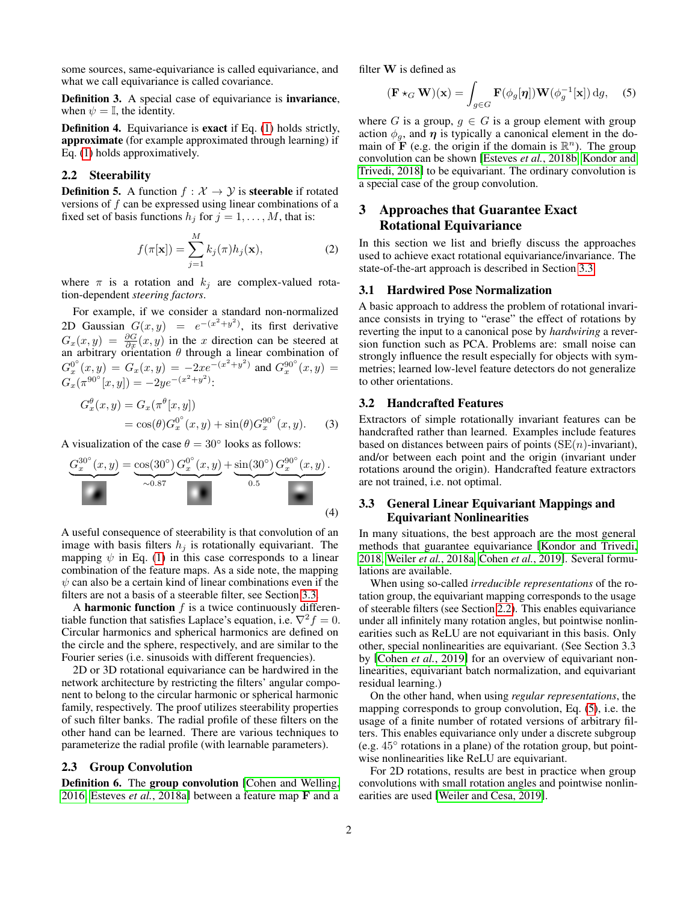<span id="page-1-8"></span>some sources, same-equivariance is called equivariance, and what we call equivariance is called covariance.

<span id="page-1-7"></span>Definition 3. A special case of equivariance is invariance, when  $\psi = \mathbb{I}$ , the identity.

<span id="page-1-6"></span>Definition 4. Equivariance is exact if Eq. [\(1\)](#page-0-1) holds strictly, approximate (for example approximated through learning) if Eq. [\(1\)](#page-0-1) holds approximatively.

## <span id="page-1-2"></span>2.2 Steerability

**Definition 5.** A function  $f : \mathcal{X} \to \mathcal{Y}$  is **steerable** if rotated versions of  $f$  can be expressed using linear combinations of a fixed set of basis functions  $h_j$  for  $j = 1, \ldots, M$ , that is:

$$
f(\pi[\mathbf{x}]) = \sum_{j=1}^{M} k_j(\pi) h_j(\mathbf{x}),
$$
 (2)

where  $\pi$  is a rotation and  $k_j$  are complex-valued rotation-dependent *steering factors*.

For example, if we consider a standard non-normalized 2D Gaussian  $G(x, y) = e^{-(x^2 + y^2)}$ , its first derivative  $G_x(x, y) = \frac{\partial G}{\partial x}(x, y)$  in the x direction can be steered at an arbitrary orientation  $\theta$  through a linear combination of  $G_x^{0^{\circ}}(x,y) = G_x(x,y) = -2xe^{-(x^2+y^2)}$  and  $G_x^{90^{\circ}}(x,y) =$  $G_x(\pi^{90^\circ}[x, y]) = -2ye^{-(x^2+y^2)}$ :

$$
G_x^{\theta}(x, y) = G_x(\pi^{\theta}[x, y])
$$
  
=  $\cos(\theta)G_x^{0^{\circ}}(x, y) + \sin(\theta)G_x^{90^{\circ}}(x, y).$  (3)

A visualization of the case  $\theta = 30^{\circ}$  looks as follows:

$$
\underbrace{G_x^{30^{\circ}}(x,y)}_{\sim 0.87} = \underbrace{\cos(30^{\circ})}_{\sim 0.87} \underbrace{G_x^{0^{\circ}}(x,y)}_{\sim 0.5} + \underbrace{\sin(30^{\circ})}_{0.5} \underbrace{G_x^{90^{\circ}}(x,y)}_{\sim 0.4}.
$$
\n(4)

A useful consequence of steerability is that convolution of an image with basis filters  $h_i$  is rotationally equivariant. The mapping  $\psi$  in Eq. [\(1\)](#page-0-1) in this case corresponds to a linear combination of the feature maps. As a side note, the mapping  $\psi$  can also be a certain kind of linear combinations even if the filters are not a basis of a steerable filter, see Section [3.3.](#page-1-1)

A harmonic function  $f$  is a twice continuously differentiable function that satisfies Laplace's equation, i.e.  $\nabla^2 f = 0$ . Circular harmonics and spherical harmonics are defined on the circle and the sphere, respectively, and are similar to the Fourier series (i.e. sinusoids with different frequencies).

2D or 3D rotational equivariance can be hardwired in the network architecture by restricting the filters' angular component to belong to the circular harmonic or spherical harmonic family, respectively. The proof utilizes steerability properties of such filter banks. The radial profile of these filters on the other hand can be learned. There are various techniques to parameterize the radial profile (with learnable parameters).

#### 2.3 Group Convolution

Definition 6. The group convolution [\[Cohen and Welling,](#page-6-1) [2016,](#page-6-1) Esteves *et al.*[, 2018a\]](#page-6-2) between a feature map F and a filter W is defined as

<span id="page-1-3"></span>
$$
(\mathbf{F} \star_G \mathbf{W})(\mathbf{x}) = \int_{g \in G} \mathbf{F}(\phi_g[\boldsymbol{\eta}]) \mathbf{W}(\phi_g^{-1}[\mathbf{x}]) \, dg,
$$
 (5)

where G is a group,  $g \in G$  is a group element with group action  $\phi_q$ , and  $\eta$  is typically a canonical element in the domain of  $\overline{F}$  (e.g. the origin if the domain is  $\mathbb{R}^n$ ). The group convolution can be shown [\[Esteves](#page-6-3) *et al.*, 2018b, [Kondor and](#page-6-4) [Trivedi, 2018\]](#page-6-4) to be equivariant. The ordinary convolution is a special case of the group convolution.

# <span id="page-1-0"></span>3 Approaches that Guarantee Exact Rotational Equivariance

In this section we list and briefly discuss the approaches used to achieve exact rotational equivariance/invariance. The state-of-the-art approach is described in Section [3.3.](#page-1-1)

#### <span id="page-1-5"></span>3.1 Hardwired Pose Normalization

A basic approach to address the problem of rotational invariance consists in trying to "erase" the effect of rotations by reverting the input to a canonical pose by *hardwiring* a reversion function such as PCA. Problems are: small noise can strongly influence the result especially for objects with symmetries; learned low-level feature detectors do not generalize to other orientations.

#### <span id="page-1-4"></span>3.2 Handcrafted Features

Extractors of simple rotationally invariant features can be handcrafted rather than learned. Examples include features based on distances between pairs of points  $(SE(n)$ -invariant), and/or between each point and the origin (invariant under rotations around the origin). Handcrafted feature extractors are not trained, i.e. not optimal.

#### <span id="page-1-1"></span>3.3 General Linear Equivariant Mappings and Equivariant Nonlinearities

In many situations, the best approach are the most general methods that guarantee equivariance [\[Kondor and Trivedi,](#page-6-4) [2018,](#page-6-4) Weiler *et al.*[, 2018a,](#page-7-0) Cohen *et al.*[, 2019\]](#page-6-5). Several formulations are available.

When using so-called *irreducible representations* of the rotation group, the equivariant mapping corresponds to the usage of steerable filters (see Section [2.2\)](#page-1-2). This enables equivariance under all infinitely many rotation angles, but pointwise nonlinearities such as ReLU are not equivariant in this basis. Only other, special nonlinearities are equivariant. (See Section 3.3 by [\[Cohen](#page-6-5) *et al.*, 2019] for an overview of equivariant nonlinearities, equivariant batch normalization, and equivariant residual learning.)

On the other hand, when using *regular representations*, the mapping corresponds to group convolution, Eq. [\(5\)](#page-1-3), i.e. the usage of a finite number of rotated versions of arbitrary filters. This enables equivariance only under a discrete subgroup (e.g. 45<sup>∘</sup> rotations in a plane) of the rotation group, but pointwise nonlinearities like ReLU are equivariant.

For 2D rotations, results are best in practice when group convolutions with small rotation angles and pointwise nonlinearities are used [\[Weiler and Cesa, 2019\]](#page-7-1).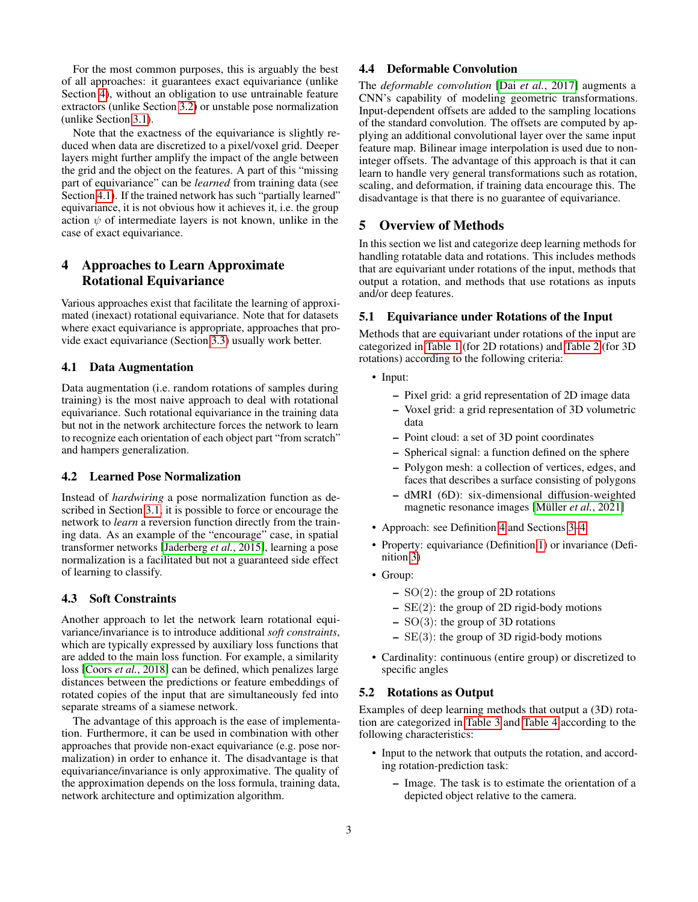<span id="page-2-10"></span>For the most common purposes, this is arguably the best of all approaches: it guarantees exact equivariance (unlike Section [4\)](#page-2-0), without an obligation to use untrainable feature extractors (unlike Section [3.2\)](#page-1-4) or unstable pose normalization (unlike Section [3.1\)](#page-1-5).

Note that the exactness of the equivariance is slightly reduced when data are discretized to a pixel/voxel grid. Deeper layers might further amplify the impact of the angle between the grid and the object on the features. A part of this "missing part of equivariance" can be *learned* from training data (see Section [4.1\)](#page-2-3). If the trained network has such "partially learned" equivariance, it is not obvious how it achieves it, i.e. the group action  $\psi$  of intermediate layers is not known, unlike in the case of exact equivariance.

# <span id="page-2-0"></span>4 Approaches to Learn Approximate Rotational Equivariance

Various approaches exist that facilitate the learning of approximated (inexact) rotational equivariance. Note that for datasets where exact equivariance is appropriate, approaches that provide exact equivariance (Section [3.3\)](#page-1-1) usually work better.

#### <span id="page-2-3"></span>4.1 Data Augmentation

Data augmentation (i.e. random rotations of samples during training) is the most naive approach to deal with rotational equivariance. Such rotational equivariance in the training data but not in the network architecture forces the network to learn to recognize each orientation of each object part "from scratch" and hampers generalization.

## 4.2 Learned Pose Normalization

Instead of *hardwiring* a pose normalization function as described in Section [3.1,](#page-1-5) it is possible to force or encourage the network to *learn* a reversion function directly from the training data. As an example of the "encourage" case, in spatial transformer networks [\[Jaderberg](#page-6-6) *et al.*, 2015], learning a pose normalization is a facilitated but not a guaranteed side effect of learning to classify.

#### 4.3 Soft Constraints

Another approach to let the network learn rotational equivariance/invariance is to introduce additional *soft constraints*, which are typically expressed by auxiliary loss functions that are added to the main loss function. For example, a similarity loss [Coors *et al.*[, 2018\]](#page-6-7) can be defined, which penalizes large distances between the predictions or feature embeddings of rotated copies of the input that are simultaneously fed into separate streams of a siamese network.

The advantage of this approach is the ease of implementation. Furthermore, it can be used in combination with other approaches that provide non-exact equivariance (e.g. pose normalization) in order to enhance it. The disadvantage is that equivariance/invariance is only approximative. The quality of the approximation depends on the loss formula, training data, network architecture and optimization algorithm.

# 4.4 Deformable Convolution

The *deformable convolution* [Dai *et al.*[, 2017\]](#page-6-8) augments a CNN's capability of modeling geometric transformations. Input-dependent offsets are added to the sampling locations of the standard convolution. The offsets are computed by applying an additional convolutional layer over the same input feature map. Bilinear image interpolation is used due to noninteger offsets. The advantage of this approach is that it can learn to handle very general transformations such as rotation, scaling, and deformation, if training data encourage this. The disadvantage is that there is no guarantee of equivariance.

## 5 Overview of Methods

In this section we list and categorize deep learning methods for handling rotatable data and rotations. This includes methods that are equivariant under rotations of the input, methods that output a rotation, and methods that use rotations as inputs and/or deep features.

#### <span id="page-2-1"></span>5.1 Equivariance under Rotations of the Input

Methods that are equivariant under rotations of the input are categorized in [Table 1](#page-3-0) (for 2D rotations) and [Table 2](#page-4-0) (for 3D rotations) according to the following criteria:

- <span id="page-2-8"></span>• Input:
	- Pixel grid: a grid representation of 2D image data
	- Voxel grid: a grid representation of 3D volumetric data
	- Point cloud: a set of 3D point coordinates
	- Spherical signal: a function defined on the sphere
	- Polygon mesh: a collection of vertices, edges, and faces that describes a surface consisting of polygons
	- dMRI (6D): six-dimensional diffusion-weighted magnetic resonance images [\[Müller](#page-6-9) *et al.*, 2021]
- <span id="page-2-4"></span>• Approach: see Definition [4](#page-1-6) and Sections [3–](#page-1-0)[4](#page-2-0)
- <span id="page-2-5"></span>• Property: equivariance (Definition [1\)](#page-0-2) or invariance (Definition [3\)](#page-1-7)
- <span id="page-2-6"></span>• Group:
	- $SO(2)$ : the group of 2D rotations
	- $-$  SE(2): the group of 2D rigid-body motions
	- $-$  SO(3): the group of 3D rotations
	- $-$  SE(3): the group of 3D rigid-body motions
- <span id="page-2-7"></span>• Cardinality: continuous (entire group) or discretized to specific angles

#### <span id="page-2-2"></span>5.2 Rotations as Output

Examples of deep learning methods that output a (3D) rotation are categorized in [Table 3](#page-4-1) and [Table 4](#page-5-2) according to the following characteristics:

- <span id="page-2-9"></span>• Input to the network that outputs the rotation, and according rotation-prediction task:
	- Image. The task is to estimate the orientation of a depicted object relative to the camera.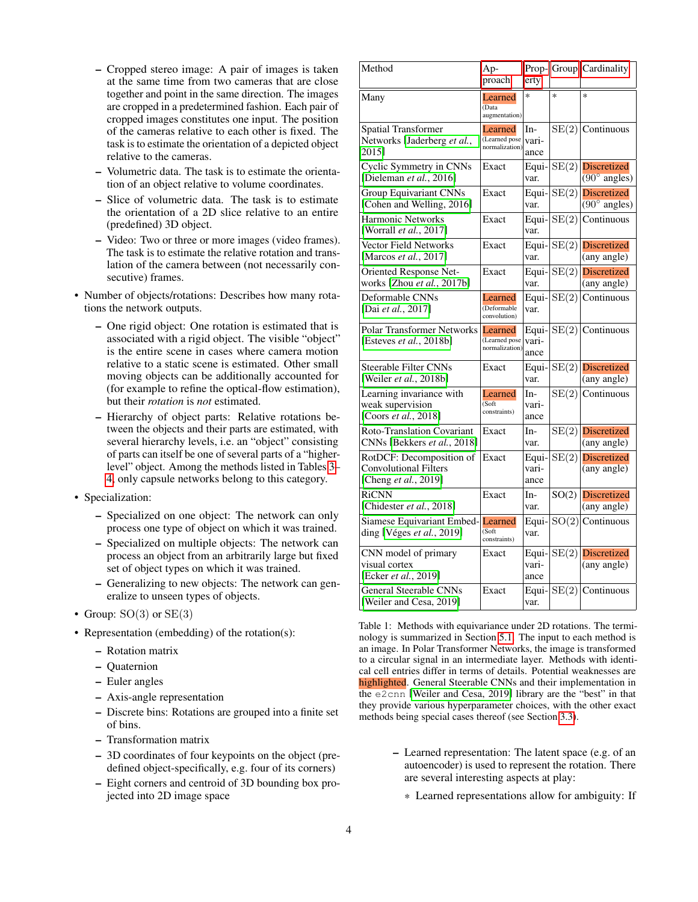- <span id="page-3-4"></span>– Cropped stereo image: A pair of images is taken at the same time from two cameras that are close together and point in the same direction. The images are cropped in a predetermined fashion. Each pair of cropped images constitutes one input. The position of the cameras relative to each other is fixed. The task is to estimate the orientation of a depicted object relative to the cameras.
- Volumetric data. The task is to estimate the orientation of an object relative to volume coordinates.
- Slice of volumetric data. The task is to estimate the orientation of a 2D slice relative to an entire (predefined) 3D object.
- Video: Two or three or more images (video frames). The task is to estimate the relative rotation and translation of the camera between (not necessarily consecutive) frames.
- Number of objects/rotations: Describes how many rotations the network outputs.
	- One rigid object: One rotation is estimated that is associated with a rigid object. The visible "object" is the entire scene in cases where camera motion relative to a static scene is estimated. Other small moving objects can be additionally accounted for (for example to refine the optical-flow estimation), but their *rotation* is *not* estimated.
	- Hierarchy of object parts: Relative rotations between the objects and their parts are estimated, with several hierarchy levels, i.e. an "object" consisting of parts can itself be one of several parts of a "higherlevel" object. Among the methods listed in Tables [3–](#page-4-1) [4,](#page-5-2) only capsule networks belong to this category.
- <span id="page-3-1"></span>• Specialization:
	- Specialized on one object: The network can only process one type of object on which it was trained.
	- Specialized on multiple objects: The network can process an object from an arbitrarily large but fixed set of object types on which it was trained.
	- Generalizing to new objects: The network can generalize to unseen types of objects.
- <span id="page-3-2"></span>• Group:  $SO(3)$  or  $SE(3)$
- <span id="page-3-3"></span>• Representation (embedding) of the rotation(s):
	- Rotation matrix
	- Quaternion
	- Euler angles
	- Axis-angle representation
	- Discrete bins: Rotations are grouped into a finite set of bins.
	- Transformation matrix
	- 3D coordinates of four keypoints on the object (predefined object-specifically, e.g. four of its corners)
	- Eight corners and centroid of 3D bounding box projected into 2D image space

<span id="page-3-0"></span>

| Method                                                                           | Ap-<br>proach                                      | Prop-<br>erty          |        | Group Cardinality                                     |  |
|----------------------------------------------------------------------------------|----------------------------------------------------|------------------------|--------|-------------------------------------------------------|--|
| Many                                                                             | Learned<br>(Data<br>augmentation)                  | $\ast$                 | $\ast$ | $\ast$                                                |  |
| <b>Spatial Transformer</b><br>Networks [Jaderberg et al.,<br>2015]               | Learned<br>(Learned pose   vari-<br>normalization) | In-<br>ance            | SE(2)  | Continuous                                            |  |
| Cyclic Symmetry in CNNs<br>[Dieleman et al., 2016]                               | Exact                                              | Equi-<br>var.          | SE(2)  | <b>Discretized</b><br>$(90^\circ \text{ angles})$     |  |
| <b>Group Equivariant CNNs</b><br>[Cohen and Welling, 2016]                       | Exact                                              | Equi-<br>var.          | SE(2)  | <b>Discretized</b><br>$(90^\circ \text{ angles})$     |  |
| <b>Harmonic Networks</b><br>[Worrall et al., 2017]                               | Exact                                              | Equi-<br>var.          | SE(2)  | Continuous                                            |  |
| <b>Vector Field Networks</b><br>[Marcos et al., 2017]                            | Exact                                              | Equi-<br>var.          | SE(2)  | <b>Discretized</b><br>(any angle)                     |  |
| Oriented Response Net-<br>works [Zhou et al., 2017b]                             | Exact                                              | Equi-<br>var.          | SE(2)  | <b>Discretized</b><br>(any angle)                     |  |
| Deformable CNNs<br>[Dai et al., 2017]                                            | Learned<br>(Deformable<br>convolution)             | Equi-<br>var.          | SE(2)  | Continuous                                            |  |
| <b>Polar Transformer Networks</b><br>[Esteves <i>et al.</i> , 2018b]             | Learned<br>(Learned pose<br>normalization)         | Equi-<br>vari-<br>ance | SE(2)  | Continuous                                            |  |
| <b>Steerable Filter CNNs</b><br>[Weiler et al., 2018b]                           | Exact                                              | Equi-<br>var.          | SE(2)  | <b>Discretized</b><br>(any angle)                     |  |
| Learning invariance with<br>weak supervision<br>[Coors et al., 2018]             | Learned<br>(Soft)<br>constraints)                  | In-<br>vari-<br>ance   | SE(2)  | Continuous                                            |  |
| Roto-Translation Covariant<br>CNNs [Bekkers et al., 2018]                        | Exact                                              | In-<br>var.            | SE(2)  | <b>Discretized</b><br>$\overline{\text{(any angle)}}$ |  |
| RotDCF: Decomposition of<br><b>Convolutional Filters</b><br>[Cheng et al., 2019] | Exact                                              | Equi-<br>vari-<br>ance | SE(2)  | <b>Discretized</b><br>$\overline{\text{(any angle)}}$ |  |
| <b>RiCNN</b><br>[Chidester et al., 2018]                                         | Exact                                              | In-<br>var.            | SO(2)  | <b>Discretized</b><br>$\overline{\text{(any angle)}}$ |  |
| Siamese Equivariant Embed-<br>ding [Véges et al., 2019]                          | Learned<br>$(s$ oft<br>constraints)                | Equi-<br>var.          | SO(2)  | Continuous                                            |  |
| CNN model of primary<br>visual cortex<br>[Ecker et al., 2019]                    | Exact                                              | Equi-<br>vari-<br>ance | SE(2)  | <b>Discretized</b><br>(any angle)                     |  |
| <b>General Steerable CNNs</b><br>[Weiler and Cesa, 2019]                         | Exact                                              | Equi-<br>var.          | SE(2)  | Continuous                                            |  |

Table 1: Methods with equivariance under 2D rotations. The terminology is summarized in Section [5.1.](#page-2-1) The input to each method is an image. In Polar Transformer Networks, the image is transformed to a circular signal in an intermediate layer. Methods with identical cell entries differ in terms of details. Potential weaknesses are highlighted. General Steerable CNNs and their implementation in the e2cnn [\[Weiler and Cesa, 2019\]](#page-7-1) library are the "best" in that they provide various hyperparameter choices, with the other exact methods being special cases thereof (see Section [3.3\)](#page-1-1).

- Learned representation: The latent space (e.g. of an autoencoder) is used to represent the rotation. There are several interesting aspects at play:
	- \* Learned representations allow for ambiguity: If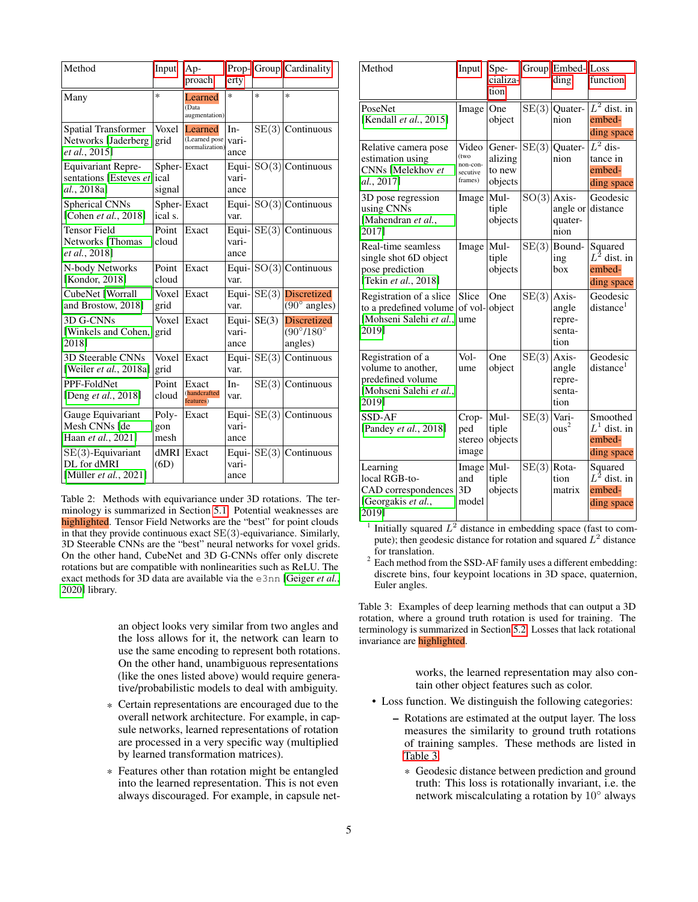<span id="page-4-3"></span><span id="page-4-0"></span>

| Method                                                               | Input                         | Ap-<br>proach                              | $Prop-$<br>erty        | Group  | Cardinality                                                    |
|----------------------------------------------------------------------|-------------------------------|--------------------------------------------|------------------------|--------|----------------------------------------------------------------|
| Many                                                                 | $\ast$                        | Learned<br>(Data<br>augmentation)          | $\ast$                 | $\ast$ | $\ast$                                                         |
| <b>Spatial Transformer</b><br>Networks [Jaderberg<br>et al., 2015]   | Voxel<br>grid                 | Learned<br>(Learned pose<br>normalization) | $In-$<br>vari-<br>ance | SE(3)  | Continuous                                                     |
| <b>Equivariant Repre-</b><br>sentations [Esteves et<br>al., 2018a]   | Spher-Exact<br>ical<br>signal |                                            | Equi-<br>vari-<br>ance |        | $SO(3)$ Continuous                                             |
| <b>Spherical CNNs</b><br>[Cohen et al., 2018]                        | Spher-<br>ical s.             | Exact                                      | Equi-<br>var.          |        | $SO(3)$ Continuous                                             |
| <b>Tensor Field</b><br>Networks [Thomas<br><i>et al.</i> , 2018]     | Point<br>cloud                | Exact                                      | Equi-<br>vari-<br>ance | SE(3)  | Continuous                                                     |
| N-body Networks<br>[Kondor, 2018]                                    | Point<br>cloud                | Exact                                      | Equi-<br>var.          |        | $SO(3)$ Continuous                                             |
| CubeNet [Worrall<br>and Brostow, 2018]                               | Voxel<br>grid                 | Exact                                      | Equi-<br>var.          | SE(3)  | <b>Discretized</b><br>$(90^\circ \text{ angles})$              |
| 3D G-CNNs<br>[Winkels and Cohen,<br>20181                            | Voxel<br>grid                 | Exact                                      | Equi-<br>vari-<br>ance | SE(3)  | <b>Discretized</b><br>$\sqrt{(90^\circ/180^\circ)}$<br>angles) |
| <b>3D Steerable CNNs</b><br>[Weiler et al., 2018a]                   | Voxel<br>grid                 | Exact                                      | Equi-<br>var.          | SE(3)  | Continuous                                                     |
| PPF-FoldNet<br>[Deng <i>et al.</i> , 2018]                           | Point<br>cloud                | Exact<br>(handcrafted<br>features)         | $In-$<br>var.          | SE(3)  | Continuous                                                     |
| Gauge Equivariant<br>Mesh CNNs Ide<br>Haan et al., 2021]             | Poly-<br>gon<br>mesh          | Exact                                      | Equi-<br>vari-<br>ance |        | $SE(3)$ Continuous                                             |
| $SE(3)$ -Equivariant<br>DL for dMRI<br>[Müller <i>et al.</i> , 2021] | dMRI<br>(6D)                  | Exact                                      | Equi-<br>vari-<br>ance | SE(3)  | Continuous                                                     |

Table 2: Methods with equivariance under 3D rotations. The terminology is summarized in Section [5.1.](#page-2-1) Potential weaknesses are highlighted. Tensor Field Networks are the "best" for point clouds in that they provide continuous exact SE(3)-equivariance. Similarly, 3D Steerable CNNs are the "best" neural networks for voxel grids. On the other hand, CubeNet and 3D G-CNNs offer only discrete rotations but are compatible with nonlinearities such as ReLU. The exact methods for 3D data are available via the e3nn [\[Geiger](#page-6-19) *et al.*, [2020\]](#page-6-19) library.

> an object looks very similar from two angles and the loss allows for it, the network can learn to use the same encoding to represent both rotations. On the other hand, unambiguous representations (like the ones listed above) would require generative/probabilistic models to deal with ambiguity.

- \* Certain representations are encouraged due to the overall network architecture. For example, in capsule networks, learned representations of rotation are processed in a very specific way (multiplied by learned transformation matrices).
- \* Features other than rotation might be entangled into the learned representation. This is not even always discouraged. For example, in capsule net-

<span id="page-4-1"></span>

| Method                                                                                           | Input                                            | Spe-<br>cializa-<br>tion               |       | Group   Embed- Loss<br>ding                | function                                           |
|--------------------------------------------------------------------------------------------------|--------------------------------------------------|----------------------------------------|-------|--------------------------------------------|----------------------------------------------------|
| PoseNet<br>[Kendall et al., 2015]                                                                | Image                                            | One<br>object                          | SE(3) | Quater-<br>nion                            | $L^2$ dist. in<br>embed-<br>ding space             |
| Relative camera pose<br>estimation using<br>CNNs [Melekhov et<br>al., 2017]                      | Video<br>(two<br>non-con-<br>secutive<br>frames) | Gener-<br>alizing<br>to new<br>objects | SE(3) | Quater-<br>nion                            | $L^2$ dis-<br>tance in<br>embed-<br>ding space     |
| 3D pose regression<br>using CNNs<br>[Mahendran et al.,<br>20171                                  | Image                                            | Mul-<br>tiple<br>objects               | SO(3) | Axis-<br>angle or<br>quater-<br>nion       | Geodesic<br>distance                               |
| Real-time seamless<br>single shot 6D object<br>pose prediction<br>[Tekin et al., 2018]           | Image                                            | Mul-<br>tiple<br>objects               | SE(3) | Bound-<br>ing<br>box                       | Squared<br>$L^2$ dist. in<br>embed-<br>ding space  |
| Registration of a slice<br>to a predefined volume<br>[Mohseni Salehi et al.,<br>2019]            | Slice<br>of vol-<br>ume                          | One<br>object                          | SE(3) | Axis-<br>angle<br>repre-<br>senta-<br>tion | Geodesic<br>distance <sup>1</sup>                  |
| Registration of a<br>volume to another,<br>predefined volume<br>[Mohseni Salehi et al.,<br>2019] | Vol-<br>ume                                      | One<br>object                          | SE(3) | Axis-<br>angle<br>repre-<br>senta-<br>tion | Geodesic<br>distance <sup>1</sup>                  |
| SSD-AF<br>[Pandey et al., 2018]                                                                  | Crop-<br>ped<br>stereo<br>image                  | Mul-<br>tiple<br>objects               | SE(3) | Vari-<br>ous <sup>2</sup>                  | Smoothed<br>$L^1$ dist. in<br>embed-<br>ding space |
| Learning<br>local RGB-to-<br>CAD correspondences<br>[Georgakis et al.,<br>2019]                  | Image<br>and<br>3D<br>model                      | Mul-<br>tiple<br>objects               | SE(3) | Rota-<br>tion<br>matrix                    | Squared<br>$L^2$ dist. in<br>embed-<br>ding space  |

<sup>1</sup> Initially squared  $L^2$  distance in embedding space (fast to compute); then geodesic distance for rotation and squared  $L^2$  distance for translation.

 $^{\rm 2}$  Each method from the SSD-AF family uses a different embedding: discrete bins, four keypoint locations in 3D space, quaternion, Euler angles.

Table 3: Examples of deep learning methods that can output a 3D rotation, where a ground truth rotation is used for training. The terminology is summarized in Section [5.2.](#page-2-2) Losses that lack rotational invariance are highlighted.

> works, the learned representation may also contain other object features such as color.

- <span id="page-4-2"></span>• Loss function. We distinguish the following categories:
	- Rotations are estimated at the output layer. The loss measures the similarity to ground truth rotations of training samples. These methods are listed in [Table 3.](#page-4-1)
		- \* Geodesic distance between prediction and ground truth: This loss is rotationally invariant, i.e. the network miscalculating a rotation by 10<sup>∘</sup> always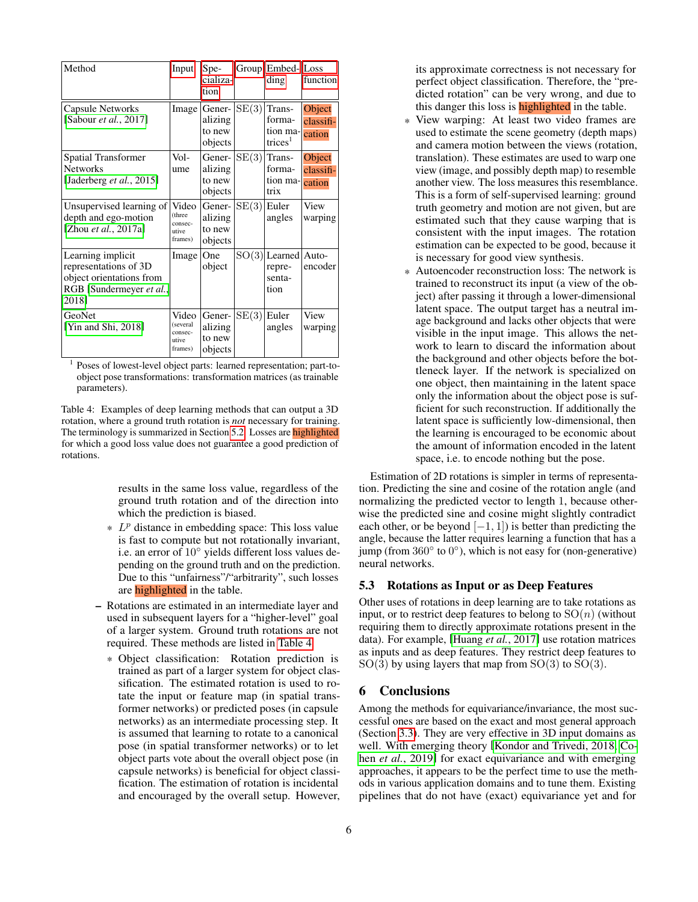<span id="page-5-3"></span><span id="page-5-2"></span>

| Method                                                                                                      | Input                                            | Spe-<br>cializa-<br>tion               | Group | Embed-<br>ding                                      | Loss<br>function              |
|-------------------------------------------------------------------------------------------------------------|--------------------------------------------------|----------------------------------------|-------|-----------------------------------------------------|-------------------------------|
| <b>Capsule Networks</b><br>[Sabour <i>et al.</i> , 2017]                                                    | Image                                            | Gener-<br>alizing<br>to new<br>objects | SE(3) | Trans-<br>forma-<br>tion ma-<br>trices <sup>1</sup> | Object<br>classifi-<br>cation |
| <b>Spatial Transformer</b><br><b>Networks</b><br>[Jaderberg <i>et al.</i> , 2015]                           | Vol-<br>ume                                      | Gener-<br>alizing<br>to new<br>objects | SE(3) | Trans-<br>forma-<br>tion ma-<br>trix                | Object<br>classifi-<br>cation |
| Unsupervised learning of<br>depth and ego-motion<br>[Zhou <i>et al.</i> , 2017a]                            | Video<br>(three<br>consec-<br>utive<br>frames)   | Gener-<br>alizing<br>to new<br>objects | SE(3) | Euler<br>angles                                     | View<br>warping               |
| Learning implicit<br>representations of 3D<br>object orientations from<br>RGB [Sundermeyer et al.,<br>2018] | Image                                            | One<br>object                          |       | $SO(3) $ Learned<br>repre-<br>senta-<br>tion        | Auto-<br>encoder              |
| GeoNet<br>[Yin and Shi, 2018]                                                                               | Video<br>(several<br>consec-<br>utive<br>frames) | Gener-<br>alizing<br>to new<br>objects | SE(3) | Euler<br>angles                                     | View<br>warping               |

<sup>1</sup> Poses of lowest-level object parts: learned representation; part-toobject pose transformations: transformation matrices (as trainable parameters).

Table 4: Examples of deep learning methods that can output a 3D rotation, where a ground truth rotation is *not* necessary for training. The terminology is summarized in Section [5.2.](#page-2-2) Losses are **highlighted** for which a good loss value does not guarantee a good prediction of rotations.

> results in the same loss value, regardless of the ground truth rotation and of the direction into which the prediction is biased.

- $*$   $L^p$  distance in embedding space: This loss value is fast to compute but not rotationally invariant, i.e. an error of 10<sup>∘</sup> yields different loss values depending on the ground truth and on the prediction. Due to this "unfairness"/"arbitrarity", such losses are **highlighted** in the table.
- Rotations are estimated in an intermediate layer and used in subsequent layers for a "higher-level" goal of a larger system. Ground truth rotations are not required. These methods are listed in [Table 4.](#page-5-2)
	- \* Object classification: Rotation prediction is trained as part of a larger system for object classification. The estimated rotation is used to rotate the input or feature map (in spatial transformer networks) or predicted poses (in capsule networks) as an intermediate processing step. It is assumed that learning to rotate to a canonical pose (in spatial transformer networks) or to let object parts vote about the overall object pose (in capsule networks) is beneficial for object classification. The estimation of rotation is incidental and encouraged by the overall setup. However,

its approximate correctness is not necessary for perfect object classification. Therefore, the "predicted rotation" can be very wrong, and due to this danger this loss is **highlighted** in the table.

- \* View warping: At least two video frames are used to estimate the scene geometry (depth maps) and camera motion between the views (rotation, translation). These estimates are used to warp one view (image, and possibly depth map) to resemble another view. The loss measures this resemblance. This is a form of self-supervised learning: ground truth geometry and motion are not given, but are estimated such that they cause warping that is consistent with the input images. The rotation estimation can be expected to be good, because it is necessary for good view synthesis.
- \* Autoencoder reconstruction loss: The network is trained to reconstruct its input (a view of the object) after passing it through a lower-dimensional latent space. The output target has a neutral image background and lacks other objects that were visible in the input image. This allows the network to learn to discard the information about the background and other objects before the bottleneck layer. If the network is specialized on one object, then maintaining in the latent space only the information about the object pose is sufficient for such reconstruction. If additionally the latent space is sufficiently low-dimensional, then the learning is encouraged to be economic about the amount of information encoded in the latent space, i.e. to encode nothing but the pose.

Estimation of 2D rotations is simpler in terms of representation. Predicting the sine and cosine of the rotation angle (and normalizing the predicted vector to length 1, because otherwise the predicted sine and cosine might slightly contradict each other, or be beyond  $[-1, 1]$ ) is better than predicting the angle, because the latter requires learning a function that has a jump (from 360<sup>∘</sup> to 0 ∘ ), which is not easy for (non-generative) neural networks.

## <span id="page-5-0"></span>5.3 Rotations as Input or as Deep Features

Other uses of rotations in deep learning are to take rotations as input, or to restrict deep features to belong to  $SO(n)$  (without requiring them to directly approximate rotations present in the data). For example, [\[Huang](#page-6-26) *et al.*, 2017] use rotation matrices as inputs and as deep features. They restrict deep features to  $SO(3)$  by using layers that map from  $SO(3)$  to  $SO(3)$ .

## <span id="page-5-1"></span>6 Conclusions

Among the methods for equivariance/invariance, the most successful ones are based on the exact and most general approach (Section [3.3\)](#page-1-1). They are very effective in 3D input domains as well. With emerging theory [\[Kondor and Trivedi, 2018,](#page-6-4) [Co](#page-6-5)hen *et al.*[, 2019\]](#page-6-5) for exact equivariance and with emerging approaches, it appears to be the perfect time to use the methods in various application domains and to tune them. Existing pipelines that do not have (exact) equivariance yet and for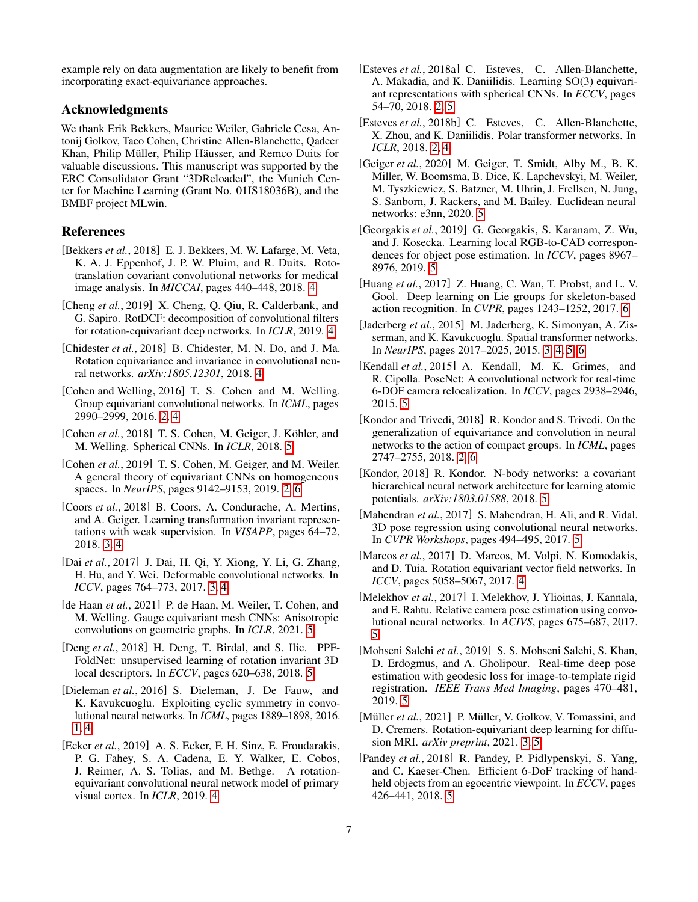example rely on data augmentation are likely to benefit from incorporating exact-equivariance approaches.

#### Acknowledgments

We thank Erik Bekkers, Maurice Weiler, Gabriele Cesa, Antonij Golkov, Taco Cohen, Christine Allen-Blanchette, Qadeer Khan, Philip Müller, Philip Häusser, and Remco Duits for valuable discussions. This manuscript was supported by the ERC Consolidator Grant "3DReloaded", the Munich Center for Machine Learning (Grant No. 01IS18036B), and the BMBF project MLwin.

# References

- <span id="page-6-11"></span>[Bekkers *et al.*, 2018] E. J. Bekkers, M. W. Lafarge, M. Veta, K. A. J. Eppenhof, J. P. W. Pluim, and R. Duits. Rototranslation covariant convolutional networks for medical image analysis. In *MICCAI*, pages 440–448, 2018. [4](#page-3-4)
- <span id="page-6-12"></span>[Cheng *et al.*, 2019] X. Cheng, Q. Qiu, R. Calderbank, and G. Sapiro. RotDCF: decomposition of convolutional filters for rotation-equivariant deep networks. In *ICLR*, 2019. [4](#page-3-4)
- <span id="page-6-13"></span>[Chidester *et al.*, 2018] B. Chidester, M. N. Do, and J. Ma. Rotation equivariance and invariance in convolutional neural networks. *arXiv:1805.12301*, 2018. [4](#page-3-4)
- <span id="page-6-1"></span>[Cohen and Welling, 2016] T. S. Cohen and M. Welling. Group equivariant convolutional networks. In *ICML*, pages 2990–2999, 2016. [2,](#page-1-8) [4](#page-3-4)
- <span id="page-6-15"></span>[Cohen *et al.*, 2018] T. S. Cohen, M. Geiger, J. Köhler, and M. Welling. Spherical CNNs. In *ICLR*, 2018. [5](#page-4-3)
- <span id="page-6-5"></span>[Cohen *et al.*, 2019] T. S. Cohen, M. Geiger, and M. Weiler. A general theory of equivariant CNNs on homogeneous spaces. In *NeurIPS*, pages 9142–9153, 2019. [2,](#page-1-8) [6](#page-5-3)
- <span id="page-6-7"></span>[Coors *et al.*, 2018] B. Coors, A. Condurache, A. Mertins, and A. Geiger. Learning transformation invariant representations with weak supervision. In *VISAPP*, pages 64–72, 2018. [3,](#page-2-10) [4](#page-3-4)
- <span id="page-6-8"></span>[Dai *et al.*, 2017] J. Dai, H. Qi, Y. Xiong, Y. Li, G. Zhang, H. Hu, and Y. Wei. Deformable convolutional networks. In *ICCV*, pages 764–773, 2017. [3,](#page-2-10) [4](#page-3-4)
- <span id="page-6-18"></span>[de Haan *et al.*, 2021] P. de Haan, M. Weiler, T. Cohen, and M. Welling. Gauge equivariant mesh CNNs: Anisotropic convolutions on geometric graphs. In *ICLR*, 2021. [5](#page-4-3)
- <span id="page-6-17"></span>[Deng *et al.*, 2018] H. Deng, T. Birdal, and S. Ilic. PPF-FoldNet: unsupervised learning of rotation invariant 3D local descriptors. In *ECCV*, pages 620–638, 2018. [5](#page-4-3)
- <span id="page-6-0"></span>[Dieleman *et al.*, 2016] S. Dieleman, J. De Fauw, and K. Kavukcuoglu. Exploiting cyclic symmetry in convolutional neural networks. In *ICML*, pages 1889–1898, 2016. [1,](#page-0-3) [4](#page-3-4)
- <span id="page-6-14"></span>[Ecker *et al.*, 2019] A. S. Ecker, F. H. Sinz, E. Froudarakis, P. G. Fahey, S. A. Cadena, E. Y. Walker, E. Cobos, J. Reimer, A. S. Tolias, and M. Bethge. A rotationequivariant convolutional neural network model of primary visual cortex. In *ICLR*, 2019. [4](#page-3-4)
- <span id="page-6-2"></span>[Esteves *et al.*, 2018a] C. Esteves, C. Allen-Blanchette, A. Makadia, and K. Daniilidis. Learning SO(3) equivariant representations with spherical CNNs. In *ECCV*, pages 54–70, 2018. [2,](#page-1-8) [5](#page-4-3)
- <span id="page-6-3"></span>[Esteves *et al.*, 2018b] C. Esteves, C. Allen-Blanchette, X. Zhou, and K. Daniilidis. Polar transformer networks. In *ICLR*, 2018. [2,](#page-1-8) [4](#page-3-4)
- <span id="page-6-19"></span>[Geiger *et al.*, 2020] M. Geiger, T. Smidt, Alby M., B. K. Miller, W. Boomsma, B. Dice, K. Lapchevskyi, M. Weiler, M. Tyszkiewicz, S. Batzner, M. Uhrin, J. Frellsen, N. Jung, S. Sanborn, J. Rackers, and M. Bailey. Euclidean neural networks: e3nn, 2020. [5](#page-4-3)
- <span id="page-6-25"></span>[Georgakis *et al.*, 2019] G. Georgakis, S. Karanam, Z. Wu, and J. Kosecka. Learning local RGB-to-CAD correspondences for object pose estimation. In *ICCV*, pages 8967– 8976, 2019. [5](#page-4-3)
- <span id="page-6-26"></span>[Huang *et al.*, 2017] Z. Huang, C. Wan, T. Probst, and L. V. Gool. Deep learning on Lie groups for skeleton-based action recognition. In *CVPR*, pages 1243–1252, 2017. [6](#page-5-3)
- <span id="page-6-6"></span>[Jaderberg *et al.*, 2015] M. Jaderberg, K. Simonyan, A. Zisserman, and K. Kavukcuoglu. Spatial transformer networks. In *NeurIPS*, pages 2017–2025, 2015. [3,](#page-2-10) [4,](#page-3-4) [5,](#page-4-3) [6](#page-5-3)
- <span id="page-6-20"></span>[Kendall *et al.*, 2015] A. Kendall, M. K. Grimes, and R. Cipolla. PoseNet: A convolutional network for real-time 6-DOF camera relocalization. In *ICCV*, pages 2938–2946, 2015. [5](#page-4-3)
- <span id="page-6-4"></span>[Kondor and Trivedi, 2018] R. Kondor and S. Trivedi. On the generalization of equivariance and convolution in neural networks to the action of compact groups. In *ICML*, pages 2747–2755, 2018. [2,](#page-1-8) [6](#page-5-3)
- <span id="page-6-16"></span>[Kondor, 2018] R. Kondor. N-body networks: a covariant hierarchical neural network architecture for learning atomic potentials. *arXiv:1803.01588*, 2018. [5](#page-4-3)
- <span id="page-6-22"></span>[Mahendran et al., 2017] S. Mahendran, H. Ali, and R. Vidal. 3D pose regression using convolutional neural networks. In *CVPR Workshops*, pages 494–495, 2017. [5](#page-4-3)
- <span id="page-6-10"></span>[Marcos *et al.*, 2017] D. Marcos, M. Volpi, N. Komodakis, and D. Tuia. Rotation equivariant vector field networks. In *ICCV*, pages 5058–5067, 2017. [4](#page-3-4)
- <span id="page-6-21"></span>[Melekhov *et al.*, 2017] I. Melekhov, J. Ylioinas, J. Kannala, and E. Rahtu. Relative camera pose estimation using convolutional neural networks. In *ACIVS*, pages 675–687, 2017. [5](#page-4-3)
- <span id="page-6-23"></span>[Mohseni Salehi *et al.*, 2019] S. S. Mohseni Salehi, S. Khan, D. Erdogmus, and A. Gholipour. Real-time deep pose estimation with geodesic loss for image-to-template rigid registration. *IEEE Trans Med Imaging*, pages 470–481, 2019. [5](#page-4-3)
- <span id="page-6-9"></span>[Müller *et al.*, 2021] P. Müller, V. Golkov, V. Tomassini, and D. Cremers. Rotation-equivariant deep learning for diffusion MRI. *arXiv preprint*, 2021. [3,](#page-2-10) [5](#page-4-3)
- <span id="page-6-24"></span>[Pandey *et al.*, 2018] R. Pandey, P. Pidlypenskyi, S. Yang, and C. Kaeser-Chen. Efficient 6-DoF tracking of handheld objects from an egocentric viewpoint. In *ECCV*, pages 426–441, 2018. [5](#page-4-3)